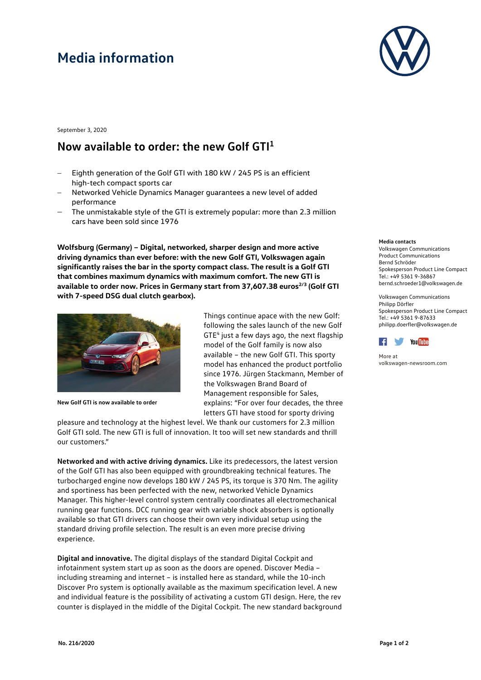# **Media information**



September 3, 2020

### **Now available to order: the new Golf GTI1**

- Eighth generation of the Golf GTI with 180 kW / 245 PS is an efficient high-tech compact sports car
- − Networked Vehicle Dynamics Manager guarantees a new level of added performance
- The unmistakable style of the GTI is extremely popular: more than 2.3 million cars have been sold since 1976

**Wolfsburg (Germany) – Digital, networked, sharper design and more active driving dynamics than ever before: with the new Golf GTI, Volkswagen again significantly raises the bar in the sporty compact class. The result is a Golf GTI that combines maximum dynamics with maximum comfort. The new GTI is**  available to order now. Prices in Germany start from 37,607.38 euros<sup>2/3</sup> (Golf GTI **with 7-speed DSG dual clutch gearbox).** 



**New Golf GTI is now available to order**

Things continue apace with the new Golf: following the sales launch of the new Golf GTE4 just a few days ago, the next flagship model of the Golf family is now also available – the new Golf GTI. This sporty model has enhanced the product portfolio since 1976. Jürgen Stackmann, Member of the Volkswagen Brand Board of Management responsible for Sales, explains: "For over four decades, the three letters GTI have stood for sporty driving

pleasure and technology at the highest level. We thank our customers for 2.3 million Golf GTI sold. The new GTI is full of innovation. It too will set new standards and thrill our customers."

**Networked and with active driving dynamics.** Like its predecessors, the latest version of the Golf GTI has also been equipped with groundbreaking technical features. The turbocharged engine now develops 180 kW / 245 PS, its torque is 370 Nm. The agility and sportiness has been perfected with the new, networked Vehicle Dynamics Manager. This higher-level control system centrally coordinates all electromechanical running gear functions. DCC running gear with variable shock absorbers is optionally available so that GTI drivers can choose their own very individual setup using the standard driving profile selection. The result is an even more precise driving experience.

**Digital and innovative.** The digital displays of the standard Digital Cockpit and infotainment system start up as soon as the doors are opened. Discover Media – including streaming and internet – is installed here as standard, while the 10-inch Discover Pro system is optionally available as the maximum specification level. A new and individual feature is the possibility of activating a custom GTI design. Here, the rev counter is displayed in the middle of the Digital Cockpit. The new standard background

#### **Media contacts**

Volkswagen Communications Product Communications Bernd Schröder Spokesperson Product Line Compact Tel.: +49 5361 9-36867 [bernd.schroeder1@volkswagen.de](mailto:bernd.schroeder1@volkswagen.de)

Volkswagen Communications Philipp Dörfler Spokesperson Product Line Compact Tel.: +49 5361 9-87633 [philipp.doerfler@volkswagen.de](mailto:philipp.doerfler@volkswagen.de)



More at [volkswagen-newsroom.com](https://www.volkswagen-media-services.com/)